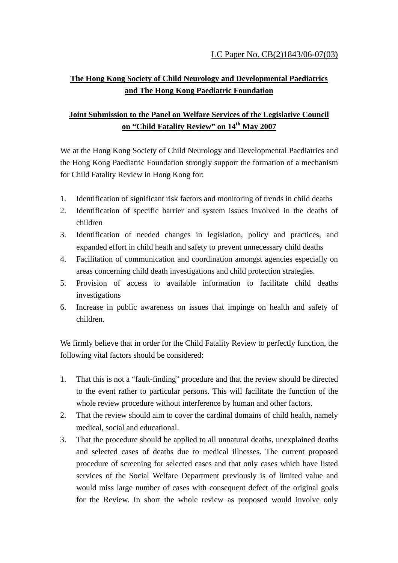## **The Hong Kong Society of Child Neurology and Developmental Paediatrics and The Hong Kong Paediatric Foundation**

## **Joint Submission to the Panel on Welfare Services of the Legislative Council on "Child Fatality Review" on 14th May 2007**

We at the Hong Kong Society of Child Neurology and Developmental Paediatrics and the Hong Kong Paediatric Foundation strongly support the formation of a mechanism for Child Fatality Review in Hong Kong for:

- 1. Identification of significant risk factors and monitoring of trends in child deaths
- 2. Identification of specific barrier and system issues involved in the deaths of children
- 3. Identification of needed changes in legislation, policy and practices, and expanded effort in child heath and safety to prevent unnecessary child deaths
- 4. Facilitation of communication and coordination amongst agencies especially on areas concerning child death investigations and child protection strategies.
- 5. Provision of access to available information to facilitate child deaths investigations
- 6. Increase in public awareness on issues that impinge on health and safety of children.

We firmly believe that in order for the Child Fatality Review to perfectly function, the following vital factors should be considered:

- 1. That this is not a "fault-finding" procedure and that the review should be directed to the event rather to particular persons. This will facilitate the function of the whole review procedure without interference by human and other factors.
- 2. That the review should aim to cover the cardinal domains of child health, namely medical, social and educational.
- 3. That the procedure should be applied to all unnatural deaths, unexplained deaths and selected cases of deaths due to medical illnesses. The current proposed procedure of screening for selected cases and that only cases which have listed services of the Social Welfare Department previously is of limited value and would miss large number of cases with consequent defect of the original goals for the Review. In short the whole review as proposed would involve only